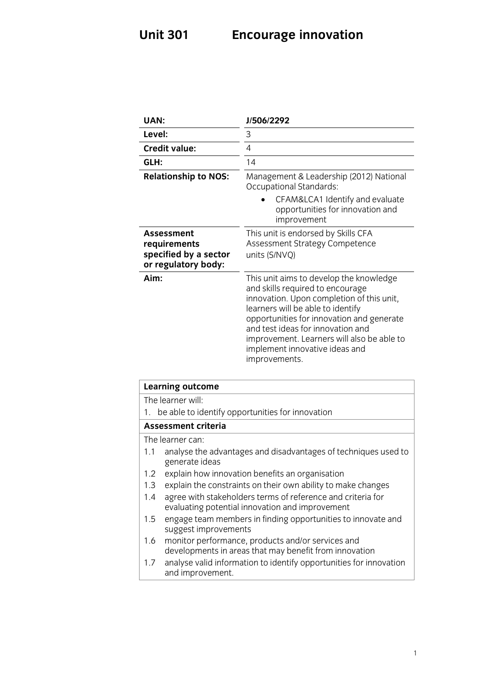# **Unit 301 Encourage innovation**

| <b>UAN:</b>                                                                       | J/506/2292                                                                                                                                                                                                                                                                                                                                       |
|-----------------------------------------------------------------------------------|--------------------------------------------------------------------------------------------------------------------------------------------------------------------------------------------------------------------------------------------------------------------------------------------------------------------------------------------------|
| Level:                                                                            | 3                                                                                                                                                                                                                                                                                                                                                |
| <b>Credit value:</b>                                                              | 4                                                                                                                                                                                                                                                                                                                                                |
| GLH:                                                                              | 14                                                                                                                                                                                                                                                                                                                                               |
| <b>Relationship to NOS:</b>                                                       | Management & Leadership (2012) National<br><b>Occupational Standards:</b>                                                                                                                                                                                                                                                                        |
|                                                                                   | CFAM&LCA1 Identify and evaluate<br>opportunities for innovation and<br>improvement                                                                                                                                                                                                                                                               |
| <b>Assessment</b><br>requirements<br>specified by a sector<br>or regulatory body: | This unit is endorsed by Skills CFA<br>Assessment Strategy Competence<br>units (S/NVQ)                                                                                                                                                                                                                                                           |
| Aim:                                                                              | This unit aims to develop the knowledge<br>and skills required to encourage<br>innovation. Upon completion of this unit,<br>learners will be able to identify<br>opportunities for innovation and generate<br>and test ideas for innovation and<br>improvement. Learners will also be able to<br>implement innovative ideas and<br>improvements. |

| <b>Learning outcome</b>                                                                                               |  |
|-----------------------------------------------------------------------------------------------------------------------|--|
| The learner will:                                                                                                     |  |
| be able to identify opportunities for innovation<br>1.                                                                |  |
| Assessment criteria                                                                                                   |  |
| The learner can:                                                                                                      |  |
| analyse the advantages and disadvantages of techniques used to<br>1.1<br>generate ideas                               |  |
| explain how innovation benefits an organisation<br>1.2                                                                |  |
| explain the constraints on their own ability to make changes<br>1.3                                                   |  |
| agree with stakeholders terms of reference and criteria for<br>1.4<br>evaluating potential innovation and improvement |  |
| engage team members in finding opportunities to innovate and<br>1.5<br>suggest improvements                           |  |
| monitor performance, products and/or services and<br>1.6<br>developments in areas that may benefit from innovation    |  |
| analyse valid information to identify opportunities for innovation<br>1.7<br>and improvement.                         |  |
|                                                                                                                       |  |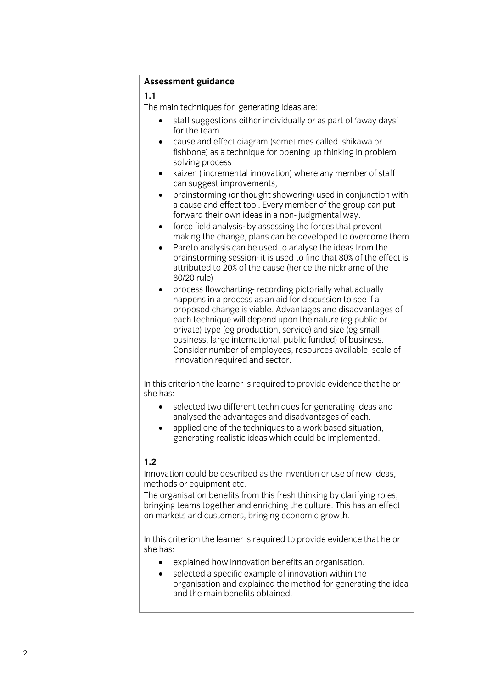## **Assessment guidance**

The main techniques for generating ideas are:

- staff suggestions either individually or as part of 'away days' for the team
	- cause and effect diagram (sometimes called Ishikawa or fishbone) as a technique for opening up thinking in problem solving process
	- kaizen (incremental innovation) where any member of staff can suggest improvements.
	- brainstorming (or thought showering) used in conjunction with a cause and effect tool. Every member of the group can put a cause and effect tool. Every member of the group can put forward their own ideas in a non-judgmental way.
	- force field analysis- by assessing the forces that prevent<br>making the change plans can be developed to overcome making the change, plans can be developed to overcome them<br>Pareto analysis can be used to analyse the ideas from the
	- brainstorming session- it is used to find that 80% of the effect is attributed to 20% of the cause (hence the nickname of the  $80/20$  rule)
	- process flowcharting- recording pictorially what actually<br>hannens in a process as an aid for discussion to see if a happens in a process as an aid for discussion to see if a<br>proposed change is viable. Advantages and disadvantages of each technique will depend upon the nature (eg public or private) type (eg production, service) and size (eg small business, large international, public funded) of business. Consider number of employees, resources available, scale of innovation required and sector. innovation required and sector.

 $\mathsf{S}$ he has required to provide evidence that he original to provide evidence that he original to provide evidence that he original to provide evidence that he original to provide evidence that he original to provide e

- she has: • selected two different techniques for generating ideas and analysed the advantages and disadvantages of each.
	- applied one of the techniques to a work based situation,<br>generating realistic ideas which could be implemented  $\sigma$  realistic ideas which could be implemented.

### $1.2$

Innovation could be described as the invention or use of new ideas, methods or equipment etc.

The organisation benefits from this fresh thinking by clarifying roles, bringing teams together and enriching the culture. This has an effect on markets and customers, bringing economic growth.  $\sim$  matrices and customers, bringing equations and customers, bringing except  $\sim$ 

In this criterion the learner is required to provide evidence that he or she has:

- explained how innovation benefits an organisation.<br>• selected a specific example of innovation within the
- selected a specific example of innovation within the organisation and explained the method for generating the idea and the main benefits obtained. and the main benefits obtained.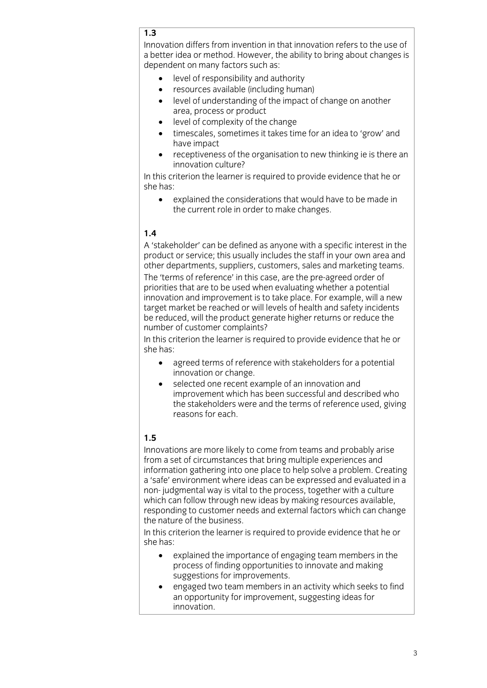### $\overline{1.3}$

Innovation differs from invention in that innovation refers to the use of a better idea or method. However, the ability to bring about changes is dependent on many factors such as:

- e level of responsibility and authority<br>  $\bullet$  resources available (including bum)
	- resources available (including human)<br>• level of understanding of the impact of
	- level of understanding of the impact of change on another
	- level of complexity of the change<br>• timescales, sometimes it takes tin
	- timescales, sometimes it takes time for an idea to 'grow' and<br>have impact
- receptiveness of the organisation to new thinking ie is there an innovation culture? innovation culture?<br>In this criterion the learner is required to provide evidence that he or

 $\sum_{i=1}^{n}$  the least  $\sum_{i=1}^{n}$  and  $\sum_{i=1}^{n}$  and  $\sum_{i=1}^{n}$  and  $\sum_{i=1}^{n}$  and  $\sum_{i=1}^{n}$  and  $\sum_{i=1}^{n}$  and  $\sum_{i=1}^{n}$  and  $\sum_{i=1}^{n}$  and  $\sum_{i=1}^{n}$  and  $\sum_{i=1}^{n}$  and  $\sum_{i=1}^{n}$  and  $\sum_{i=1}^{n}$ 

 $\sim$ • explained the considerations that would have to be made in the current role in order to make changes. the current role in order to make changes.

### $1.4$

A 'stakeholder' can be defined as anyone with a specific interest in the product or service: this usually includes the staff in your own area and other departments, suppliers, customers, sales and marketing teams. The 'terms of reference' in this case, are the pre-agreed order of priorities that are to be used when evaluating whether a potential innovation and improvement is to take place. For example, will a new target market be reached or will levels of health and safety incidents be reduced, will the product generate higher returns or reduce the number of customer complaints?

In this criterion the learner is required to provide evidence that he or  $\mathsf{S}$ he has required to provide evidence that he original to provide evidence that he original to provide evidence that he original to provide evidence that he original to provide evidence that he original to provide e

- $\bullet$ agreed terms of reference with stakeholders for a potential innovation or change.
- selected one recent example of an innovation and<br>imnovement which has been successful and desc improvement which has been successful and described who<br>the stakeholders were and the terms of reference used, giving reasons for each. reasons for each.

**1.5** Innovations are more likely to come from teams and probably arise from a set of circumstances that bring multiple experiences and information gathering into one place to help solve a problem. Creating a 'safe' environment where ideas can be expressed and evaluated in a non-judgmental way is vital to the process, together with a culture which can follow through new ideas by making resources available, responding to customer needs and external factors which can change the nature of the business.

In this criterion the learner is required to provide evidence that he or she has:

- $\bullet$ explained the importance of engaging team members in the process of finding opportunities to innovate and making suggestions for improvements.
- engaged two team members in an activity which seeks to find<br>an onportunity for improvement suggesting ideas for an opportunity for improvement, suggesting ideas for innovation.<br>The contract of the contract of the contract of the contract of the contract of the contract of the contract o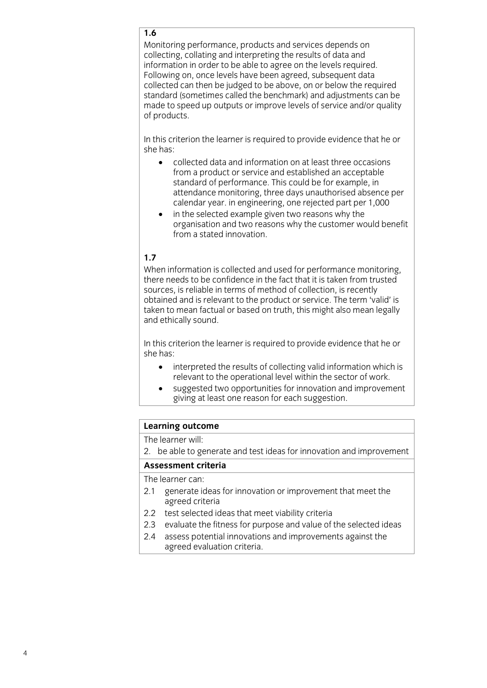### $1.6$

Monitoring performance, products and services depends on collecting, collating and interpreting the results of data and information in order to be able to agree on the levels required. Following on, once levels have been agreed, subsequent data collected can then be judged to be above, on or below the required standard (sometimes called the benchmark) and adjustments can be made to speed up outputs or improve levels of service and/or quality of products. of products.

In this criterion the learner is required to provide evidence that he or she has:

- she has: collected data and information on at least three occasions standard of performance. This could be for example, in attendance monitoring, three days unauthorised absence per calendar year. in engineering, one rejected part per 1,000
	- in the selected example given two reasons why the organisation and two reasons why the customer would benefit from a stated innovation.

### $1.7$

When information is collected and used for performance monitoring, there needs to be confidence in the fact that it is taken from trusted sources, is reliable in terms of method of collection, is recently obtained and is relevant to the product or service. The term 'valid' is taken to mean factual or based on truth, this might also mean legally and ethically sound. and ethically sound.

In this criterion the learner is required to provide evidence that he or she has:

- she has: • interpreted the results of collecting valid information which is relevant to the operational level within the sector of work.
	- suggested two opportunities for innovation and improvement<br>
	giving at least one reason for each suggestion  $\frac{30}{2}$  b  $\frac{30}{2}$  extension.

# **Learning outcome**<br>The learner will:

2. be able to generate and test ideas for innovation and improvement  $\frac{1}{2}$ . because and test ideas for innovation and innovation and improvements for innovation and improvements.

The learner can:

- 2.1 generate ideas for innovation or improvement that meet the agreed criteria
- 2.2 test selected ideas that meet viability criteria
- 2.3 evaluate the fitness for purpose and value of the selected ideas
- 2.4 assess potential innovations and improvements against the 2.4 assessments provided in the innovation of the innovation of the innovation of the innovation of the innovation of the innovation of the innovation of the innovation of the innovation of the innovation of the innovation  $\overline{a}$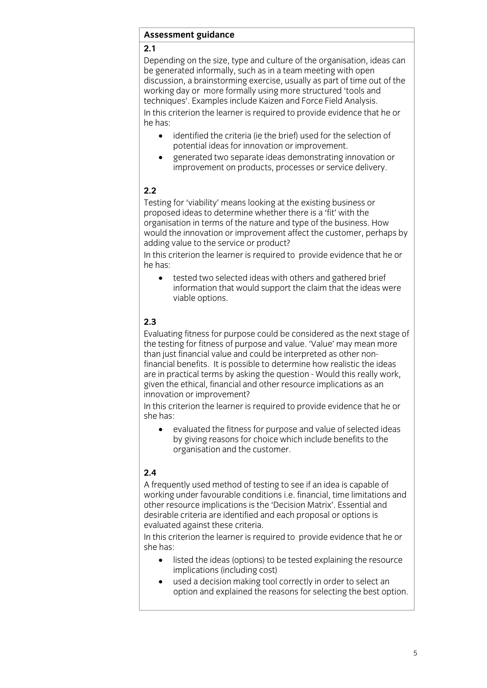## **<u>Assessment</u>**

Depending on the size, type and culture of the organisation, ideas can be generated informally, such as in a team meeting with open discussion, a brainstorming exercise, usually as part of time out of the working day or more formally using more structured 'tools and techniques'. Examples include Kaizen and Force Field Analysis. In this criterion the learner is required to provide evidence that he or  $\mathsf{h}\mathsf{e}\ \mathsf{h}\mathsf{a}\mathsf{s}$ :  $\mathsf{h}\mathsf{e}\ \mathsf{h}\mathsf{a}\mathsf{s}$ :  $\mathsf{h}\mathsf{e}\ \mathsf{h}\mathsf{a}\mathsf{s}$ :  $\mathsf{h}\mathsf{e}\ \mathsf{h}\mathsf{a}\mathsf{s}$ :  $\mathsf{h}\mathsf{e}\ \mathsf{h}\mathsf{a}\mathsf{s}$ :  $\mathsf{h}\mathsf{e}\ \mathsf{h}\mathsf{a}\mathsf{s}$ :  $\mathsf{h}\mathsf{e}\ \mathsf{h}\mathsf{a}\mathsf{s}$ :  $\mathsf{h}\mathsf{e$ 

- he has: • identified the criteria (ie the brief) used for the selection of potential ideas for innovation or improvement.
	- generated two separate ideas demonstrating innovation or<br>improvement on products, processes or service delivery. improvement on products, processes or service delivery.

### $2.2$

Testing for 'viability' means looking at the existing business or proposed ideas to determine whether there is a 'fit' with the organisation in terms of the nature and type of the business. How would the innovation or improvement affect the customer, perhaps by adding value to the service or product?

In this criterion the learner is required to provide evidence that he or In this criterion the learner is required to provide evidence that he original  $\mathbf{r}$ 

he has: • tested two selected ideas with others and gathered brief information that would support the claim that the ideas were viable options. viable options.

### $2.3$

Evaluating fitness for purpose could be considered as the next stage of the testing for fitness of purpose and value. 'Value' may mean more than just financial value and could be interpreted as other nonfinancial benefits. It is possible to determine how realistic the ideas are in practical terms by asking the question - Would this really work, given the ethical, financial and other resource implications as an innovation or improvement?

In this criterion the learner is required to provide evidence that he or she has:

she has: evaluated the fitness for purpose and value of selected ideas<br>by giving reasons for choice which include benefits to the organis ation and the customer. organisation and the customer.

### $2.4$

A frequently used method of testing to see if an idea is capable of working under favourable conditions i.e. financial, time limitations and other resource implications is the 'Decision Matrix'. Essential and desirable criteria are identified and each proposal or options is evaluated against these criteria.

In this criterion the learner is required to provide evidence that he or  $\sum_{i=1}^{n}$  is required to provide the learner is required to provide that  $\sum_{i=1}^{n}$ 

- she has: • listed the ideas (options) to be tested explaining the resource implications (including cost)
	- $\bullet$  used a decision making tool correctly in order to select an option and explained the reasons for selecting the best on  $\mathcal{L}_{\mathcal{P}}$  option and explained the reasons for selecting the best option.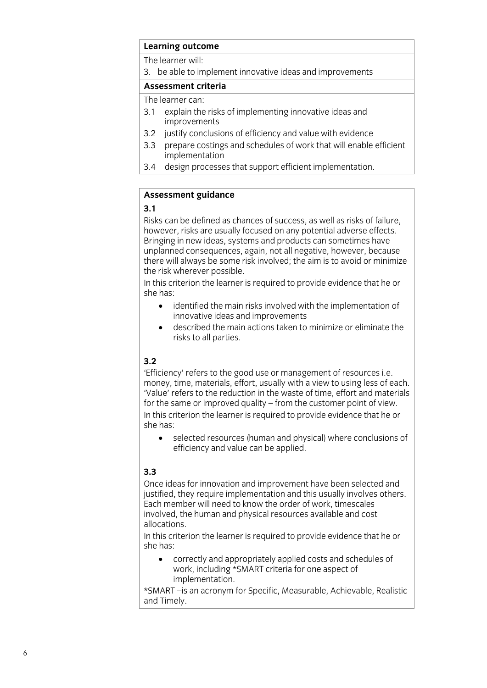# **Learning outcome**<br>The learner will:

3. be able to implement innovative ideas and improvements

### Assessment criteria

The learner can:

- 3.1 explain the risks of implementing innovative ideas and improvements
- 3.2 justify conclusions of efficiency and value with evidence
- 3.3 prepare costings and schedules of work that will enable efficient implementation
- design processes that support efficient implementation.  $3.4$  $\overline{3}$  design processes that support implementation.

## **<u>Assessment</u>**

Risks can be defined as chances of success, as well as risks of failure. however, risks are usually focused on any potential adverse effects. Bringing in new ideas, systems and products can sometimes have unplanned consequences, again, not all negative, however, because there will always be some risk involved; the aim is to avoid or minimize the risk wherever possible.

In this criterion the learner is required to provide evidence that he or  $\sum_{i=1}^{n}$  the least  $\sum_{i=1}^{n}$  required to provide evidence that he original he original to provide evidence that he original to provide evidence that he original to provide evidence that he original to provide evide

- she has: • identified the main risks involved with the implementation of innovative ideas and improvements
	- $\bullet$  described the main actions taken to minimize or eliminate the risks to all parties. risks to all parties.

### $3.2$

'Efficiency' refers to the good use or management of resources i.e. money, time, materials, effort, usually with a view to using less of each. 'Value' refers to the reduction in the waste of time, effort and materials for the same or improved quality  $-$  from the customer point of view. In this criterion the learner is required to provide evidence that he or  $\mathsf{S}$ he has required to provide evidence that he original to provide evidence that he original to provide evidence that he original to provide evidence that he original to provide evidence that he original to provide e

she has: selected resources (human and physical) where conclusions of efficiency and value can be applied. efficiency and value can be applied.

### $3.3$

Once ideas for innovation and improvement have been selected and justified, they require implementation and this usually involves others. Each member will need to know the order of work, timescales involved, the human and physical resources available and cost allocations.

In this criterion the learner is required to provide evidence that he or  $\sum_{i=1}^{n}$  is required to provide the learner is required to provide the original to provide that  $\sum_{i=1}^{n}$ she has:

correctly and appropriately applied costs and schedules of work, including \*SMART criteria for one aspect of implementation.

\*SMART-is an acronym for Specific, Measurable, Achievable, Realistic and Timely.  $\frac{1}{\sqrt{2}}$